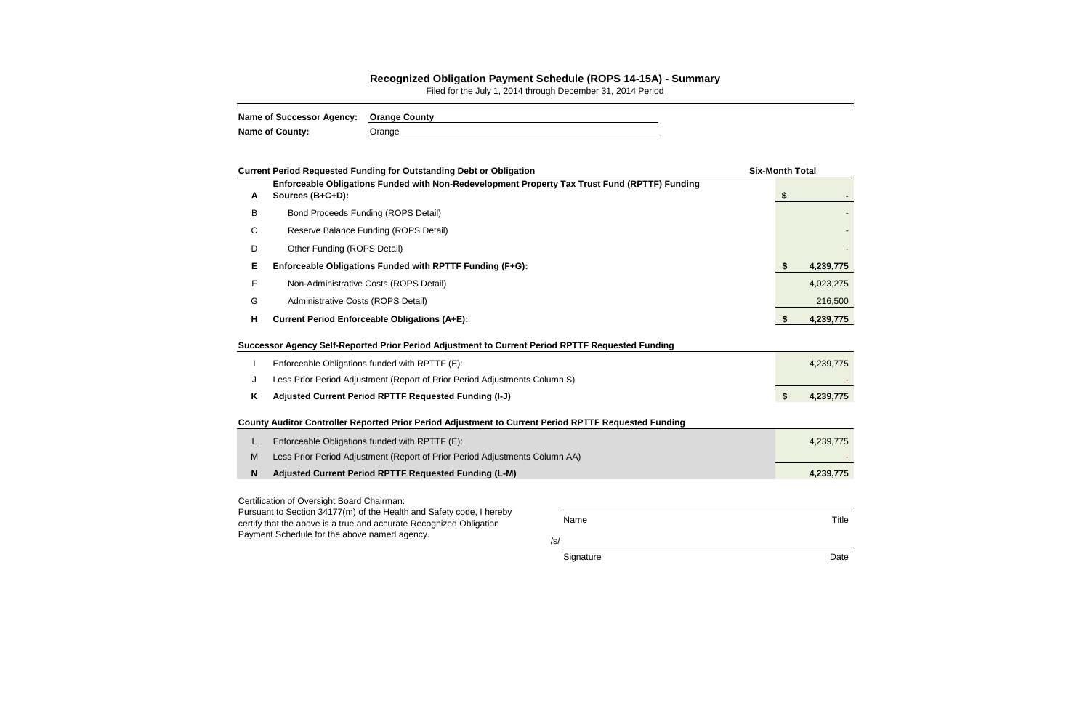## **Recognized Obligation Payment Schedule (ROPS 14-15A) - Summary**

Filed for the July 1, 2014 through December 31, 2014 Period

| Name of Successor Agency: Orange County |               |
|-----------------------------------------|---------------|
| <b>Name of County:</b>                  | <b>Jrange</b> |

|                                                                      | <b>Current Period Requested Funding for Outstanding Debt or Obligation</b>                                          |              | <b>Six-Month Total</b> |           |  |  |  |
|----------------------------------------------------------------------|---------------------------------------------------------------------------------------------------------------------|--------------|------------------------|-----------|--|--|--|
| A                                                                    | Enforceable Obligations Funded with Non-Redevelopment Property Tax Trust Fund (RPTTF) Funding<br>Sources (B+C+D):   |              | \$                     |           |  |  |  |
| B                                                                    | <b>Bond Proceeds Funding (ROPS Detail)</b>                                                                          |              |                        |           |  |  |  |
| С                                                                    | Reserve Balance Funding (ROPS Detail)                                                                               |              |                        |           |  |  |  |
| D                                                                    | Other Funding (ROPS Detail)                                                                                         |              |                        |           |  |  |  |
| Е                                                                    | Enforceable Obligations Funded with RPTTF Funding (F+G):                                                            |              | <b>S</b>               | 4,239,775 |  |  |  |
| F                                                                    | Non-Administrative Costs (ROPS Detail)                                                                              |              |                        | 4,023,275 |  |  |  |
| G                                                                    | Administrative Costs (ROPS Detail)                                                                                  |              |                        | 216,500   |  |  |  |
| н                                                                    | <b>Current Period Enforceable Obligations (A+E):</b>                                                                |              | \$                     | 4,239,775 |  |  |  |
|                                                                      | Successor Agency Self-Reported Prior Period Adjustment to Current Period RPTTF Requested Funding                    |              |                        |           |  |  |  |
|                                                                      | Enforceable Obligations funded with RPTTF (E):                                                                      |              |                        | 4,239,775 |  |  |  |
| J                                                                    | Less Prior Period Adjustment (Report of Prior Period Adjustments Column S)                                          |              |                        |           |  |  |  |
| K                                                                    | Adjusted Current Period RPTTF Requested Funding (I-J)                                                               |              |                        |           |  |  |  |
|                                                                      | County Auditor Controller Reported Prior Period Adjustment to Current Period RPTTF Requested Funding                |              |                        |           |  |  |  |
| L                                                                    | Enforceable Obligations funded with RPTTF (E):                                                                      |              |                        | 4,239,775 |  |  |  |
| М                                                                    | Less Prior Period Adjustment (Report of Prior Period Adjustments Column AA)                                         |              |                        |           |  |  |  |
| N                                                                    | Adjusted Current Period RPTTF Requested Funding (L-M)                                                               |              |                        | 4,239,775 |  |  |  |
|                                                                      | Certification of Oversight Board Chairman:                                                                          |              |                        |           |  |  |  |
| Pursuant to Section 34177(m) of the Health and Safety code, I hereby |                                                                                                                     | <b>Title</b> |                        |           |  |  |  |
|                                                                      | certify that the above is a true and accurate Recognized Obligation<br>Payment Schedule for the above named agency. |              |                        |           |  |  |  |

Signature **Date**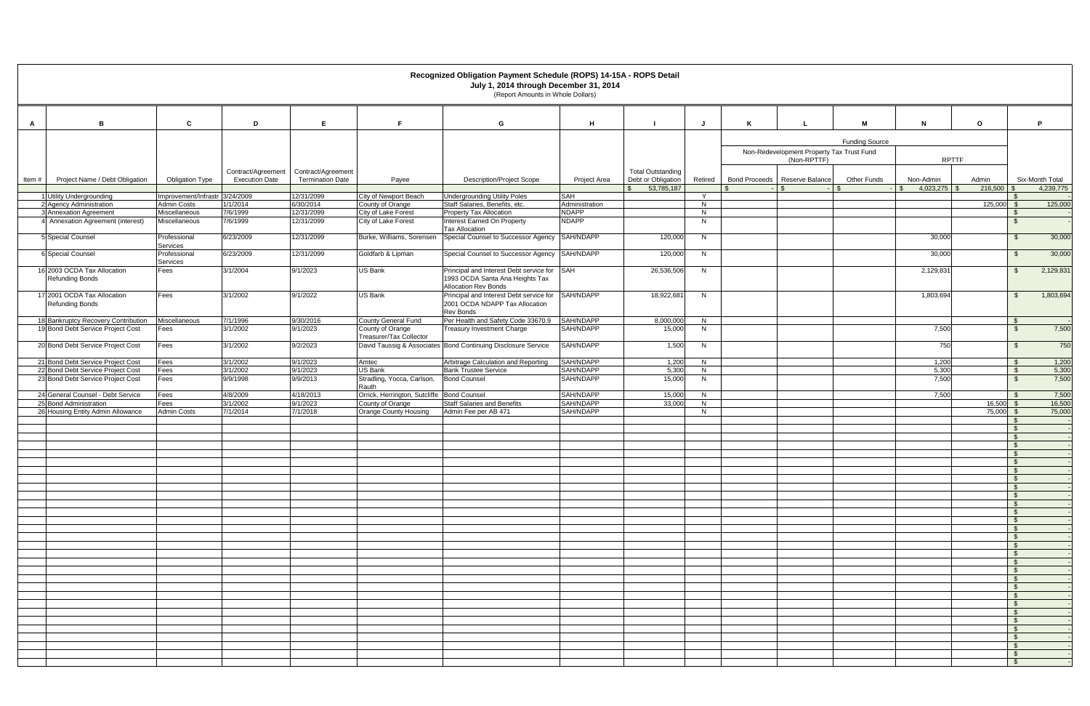|       |                                                             |                                                      |                                             |                                               |                                             | Recognized Obligation Payment Schedule (ROPS) 14-15A - ROPS Detail<br>July 1, 2014 through December 31, 2014<br>(Report Amounts in Whole Dollars) |                              |                                                |         |                                           |             |                       |                              |                            |                                 |                  |
|-------|-------------------------------------------------------------|------------------------------------------------------|---------------------------------------------|-----------------------------------------------|---------------------------------------------|---------------------------------------------------------------------------------------------------------------------------------------------------|------------------------------|------------------------------------------------|---------|-------------------------------------------|-------------|-----------------------|------------------------------|----------------------------|---------------------------------|------------------|
|       |                                                             |                                                      |                                             |                                               |                                             |                                                                                                                                                   |                              |                                                |         |                                           |             |                       |                              |                            |                                 |                  |
| A     | в                                                           | C.                                                   | D                                           | E                                             |                                             | G                                                                                                                                                 | H                            |                                                | J       |                                           |             | M                     | $\mathsf{N}$                 | $\mathbf{o}$               |                                 | P                |
|       |                                                             |                                                      |                                             |                                               |                                             |                                                                                                                                                   |                              |                                                |         |                                           |             | <b>Funding Source</b> |                              |                            |                                 |                  |
|       |                                                             |                                                      |                                             |                                               |                                             |                                                                                                                                                   |                              |                                                |         | Non-Redevelopment Property Tax Trust Fund | (Non-RPTTF) |                       | <b>RPTTF</b>                 |                            |                                 |                  |
| Item# | Project Name / Debt Obligation                              | <b>Obligation Type</b>                               | Contract/Agreement<br><b>Execution Date</b> | Contract/Agreement<br><b>Termination Date</b> | Payee                                       | <b>Description/Project Scope</b>                                                                                                                  | Project Area                 | <b>Total Outstanding</b><br>Debt or Obligation | Retired | Bond Proceeds   Reserve Balance           |             | <b>Other Funds</b>    | Non-Admin                    | Admin                      |                                 | Six-Month Total  |
|       |                                                             |                                                      |                                             |                                               |                                             |                                                                                                                                                   |                              | 53,785,187<br>$\mathbb{S}$                     |         | $\sqrt{S}$                                |             | l Si                  | $4,023,275$ \$<br>$\sqrt{S}$ | $216,500$ \$               |                                 | 4,239,775        |
|       | 1 Utility Undergrounding<br>2 Agency Administration         | Improvement/Infrastr 3/24/2009<br><b>Admin Costs</b> | 1/1/2014                                    | 12/31/2099<br>6/30/2014                       | City of Newport Beach<br>County of Orange   | <b>Undergrounding Utility Poles</b><br>Staff Salaries, Benefits, etc.                                                                             | <b>SAH</b><br>Administration |                                                | Y<br>N  |                                           |             |                       |                              | $125,000$ \$               | - \$                            | 125,000          |
|       | 3 Annexation Agreement                                      | Miscellaneous                                        | 7/6/1999                                    | 12/31/2099                                    | City of Lake Forest                         | Property Tax Allocation                                                                                                                           | <b>NDAPP</b>                 |                                                | N       |                                           |             |                       |                              |                            | $\sqrt{3}$                      |                  |
|       | 4 Annexation Agreement (interest)                           | Miscellaneous                                        | 7/6/1999                                    | 12/31/2099                                    | City of Lake Forest                         | <b>Interest Earned On Property</b>                                                                                                                | <b>NDAPP</b>                 |                                                | N       |                                           |             |                       |                              |                            | \$                              |                  |
|       | 5 Special Counsel                                           | Professional                                         | 6/23/2009                                   | 12/31/2099                                    | Burke, Williams, Sorensen                   | <b>Tax Allocation</b><br>Special Counsel to Successor Agency                                                                                      | SAH/NDAPP                    | 120,000                                        | N       |                                           |             |                       | 30,000                       |                            | $\mathfrak{S}$                  | 30,000           |
|       | 6 Special Counsel                                           | Services<br>Professional                             | 6/23/2009                                   | 12/31/2099                                    | Goldfarb & Lipman                           | Special Counsel to Successor Agency                                                                                                               | SAH/NDAPP                    | 120,000                                        | N       |                                           |             |                       | 30,000                       |                            | $\mathfrak{S}$                  | 30,000           |
|       |                                                             | Services                                             |                                             |                                               |                                             |                                                                                                                                                   |                              |                                                |         |                                           |             |                       |                              |                            |                                 |                  |
|       | 16 2003 OCDA Tax Allocation<br><b>Refunding Bonds</b>       | Fees                                                 | 3/1/2004                                    | 9/1/2023                                      | US Bank                                     | Principal and Interest Debt service for SAH<br>1993 OCDA Santa Ana Heights Tax<br>Allocation Rev Bonds                                            |                              | 26,536,506                                     | N       |                                           |             |                       | 2,129,831                    |                            | $\mathfrak{S}$                  | 2,129,831        |
|       | 17 2001 OCDA Tax Allocation<br><b>Refunding Bonds</b>       | Fees                                                 | 3/1/2002                                    | 9/1/2022                                      | <b>US Bank</b>                              | Principal and Interest Debt service for<br>2001 OCDA NDAPP Tax Allocation<br><b>Rev Bonds</b>                                                     | SAH/NDAPP                    | 18,922,681                                     | N       |                                           |             |                       | 1,803,694                    |                            | <b>S</b>                        | 1,803,694        |
|       | 18 Bankruptcy Recovery Contribution                         | Miscellaneous                                        | 7/1/1996                                    | 9/30/2016                                     | County General Fund                         | Per Health and Safety Code 33670.9                                                                                                                | SAH/NDAPP                    | 8,000,000                                      | N       |                                           |             |                       |                              |                            | $\sqrt{3}$                      |                  |
|       | 19 Bond Debt Service Project Cost                           | Fees                                                 | 3/1/2002                                    | 9/1/2023                                      | County of Orange<br>Treasurer/Tax Collector | <b>Treasury Investment Charge</b>                                                                                                                 | SAH/NDAPP                    | 15,000                                         | N       |                                           |             |                       | 7,500                        |                            | $\mathbb{S}$                    | 7,500            |
|       | 20 Bond Debt Service Project Cost                           | Fees                                                 | 3/1/2002                                    | 9/2/2023                                      |                                             | David Taussig & Associates Bond Continuing Disclosure Service                                                                                     | SAH/NDAPP                    | 1,500                                          | N       |                                           |             |                       | 750                          |                            | - \$                            | 750              |
|       | 21 Bond Debt Service Project Cost                           | Fees                                                 | 3/1/2002                                    | 9/1/2023                                      | Amtec                                       | Arbitrage Calculation and Reporting                                                                                                               | SAH/NDAPP                    | 1,200                                          | N       |                                           |             |                       | 1,200                        |                            | \$                              | 1,200            |
|       | 22 Bond Debt Service Project Cost                           | Fees                                                 | 3/1/2002                                    | 9/1/2023                                      | <b>US Bank</b>                              | <b>Bank Trustee Service</b>                                                                                                                       | SAH/NDAPP                    | 5,300                                          | N       |                                           |             |                       | 5,300                        |                            | $\mathbb{S}$                    | 5,300            |
|       | 23 Bond Debt Service Project Cost                           | Fees                                                 | 9/9/1998                                    | 9/9/2013                                      | Stradling, Yocca, Carlson,<br>Rauth         | <b>Bond Counsel</b>                                                                                                                               | SAH/NDAPP                    | 15,000                                         | N       |                                           |             |                       | 7,500                        |                            | $\mathfrak{S}$                  | 7,500            |
|       | 24 General Counsel - Debt Service                           | Fees                                                 | 4/8/2009                                    | 4/18/2013                                     | Orrick, Herrington, Sutcliffe Bond Counsel  |                                                                                                                                                   | SAH/NDAPP                    | 15,000                                         | N       |                                           |             |                       | 7,500                        |                            | - \$                            | 7,500            |
|       | 25 Bond Administration<br>26 Housing Entity Admin Allowance | Fees<br><b>Admin Costs</b>                           | 3/1/2002<br>7/1/2014                        | 9/1/2023<br>7/1/2018                          | County of Orange<br>Orange County Housing   | <b>Staff Salaries and Benefits</b><br>Admin Fee per AB 471                                                                                        | SAH/NDAPP<br>SAH/NDAPP       | 33,000                                         | N<br>N. |                                           |             |                       |                              | $16,500$ \$<br>$75,000$ \$ |                                 | 16,500<br>75,000 |
|       |                                                             |                                                      |                                             |                                               |                                             |                                                                                                                                                   |                              |                                                |         |                                           |             |                       |                              |                            | $\sqrt{3}$                      |                  |
|       |                                                             |                                                      |                                             |                                               |                                             |                                                                                                                                                   |                              |                                                |         |                                           |             |                       |                              |                            | $\mathfrak{S}$                  |                  |
|       |                                                             |                                                      |                                             |                                               |                                             |                                                                                                                                                   |                              |                                                |         |                                           |             |                       |                              |                            | $\sqrt{3}$                      |                  |
|       |                                                             |                                                      |                                             |                                               |                                             |                                                                                                                                                   |                              |                                                |         |                                           |             |                       |                              |                            | $\mathfrak{S}$<br>$\mathcal{S}$ |                  |
|       |                                                             |                                                      |                                             |                                               |                                             |                                                                                                                                                   |                              |                                                |         |                                           |             |                       |                              |                            | \$                              |                  |
|       |                                                             |                                                      |                                             |                                               |                                             |                                                                                                                                                   |                              |                                                |         |                                           |             |                       |                              |                            |                                 |                  |
|       |                                                             |                                                      |                                             |                                               |                                             |                                                                                                                                                   |                              |                                                |         |                                           |             |                       |                              |                            | - S                             |                  |
|       |                                                             |                                                      |                                             |                                               |                                             |                                                                                                                                                   |                              |                                                |         |                                           |             |                       |                              |                            | - S                             |                  |
|       |                                                             |                                                      |                                             |                                               |                                             |                                                                                                                                                   |                              |                                                |         |                                           |             |                       |                              |                            |                                 |                  |
|       |                                                             |                                                      |                                             |                                               |                                             |                                                                                                                                                   |                              |                                                |         |                                           |             |                       |                              |                            | - \$                            |                  |
|       |                                                             |                                                      |                                             |                                               |                                             |                                                                                                                                                   |                              |                                                |         |                                           |             |                       |                              |                            | $^{\circ}$                      |                  |
|       |                                                             |                                                      |                                             |                                               |                                             |                                                                                                                                                   |                              |                                                |         |                                           |             |                       |                              |                            | $^{\circ}$<br>$^{\circ}$        |                  |
|       |                                                             |                                                      |                                             |                                               |                                             |                                                                                                                                                   |                              |                                                |         |                                           |             |                       |                              |                            | $^{\circ}$                      |                  |
|       |                                                             |                                                      |                                             |                                               |                                             |                                                                                                                                                   |                              |                                                |         |                                           |             |                       |                              |                            | $^{\circ}$                      |                  |
|       |                                                             |                                                      |                                             |                                               |                                             |                                                                                                                                                   |                              |                                                |         |                                           |             |                       |                              |                            | $^{\circ}$                      |                  |
|       |                                                             |                                                      |                                             |                                               |                                             |                                                                                                                                                   |                              |                                                |         |                                           |             |                       |                              |                            |                                 |                  |
|       |                                                             |                                                      |                                             |                                               |                                             |                                                                                                                                                   |                              |                                                |         |                                           |             |                       |                              |                            | $^{\circ}$                      |                  |
|       |                                                             |                                                      |                                             |                                               |                                             |                                                                                                                                                   |                              |                                                |         |                                           |             |                       |                              |                            | <b>S</b>                        |                  |
|       |                                                             |                                                      |                                             |                                               |                                             |                                                                                                                                                   |                              |                                                |         |                                           |             |                       |                              |                            | $^{\circ}$<br>$^{\circ}$        |                  |
|       |                                                             |                                                      |                                             |                                               |                                             |                                                                                                                                                   |                              |                                                |         |                                           |             |                       |                              |                            | $^{\circ}$                      |                  |
|       |                                                             |                                                      |                                             |                                               |                                             |                                                                                                                                                   |                              |                                                |         |                                           |             |                       |                              |                            | $^{\circ}$                      |                  |
|       |                                                             |                                                      |                                             |                                               |                                             |                                                                                                                                                   |                              |                                                |         |                                           |             |                       |                              |                            | <b>S</b>                        |                  |
|       |                                                             |                                                      |                                             |                                               |                                             |                                                                                                                                                   |                              |                                                |         |                                           |             |                       |                              |                            | $^{\circ}$                      |                  |
|       |                                                             |                                                      |                                             |                                               |                                             |                                                                                                                                                   |                              |                                                |         |                                           |             |                       |                              |                            |                                 |                  |
|       |                                                             |                                                      |                                             |                                               |                                             |                                                                                                                                                   |                              |                                                |         |                                           |             |                       |                              |                            |                                 |                  |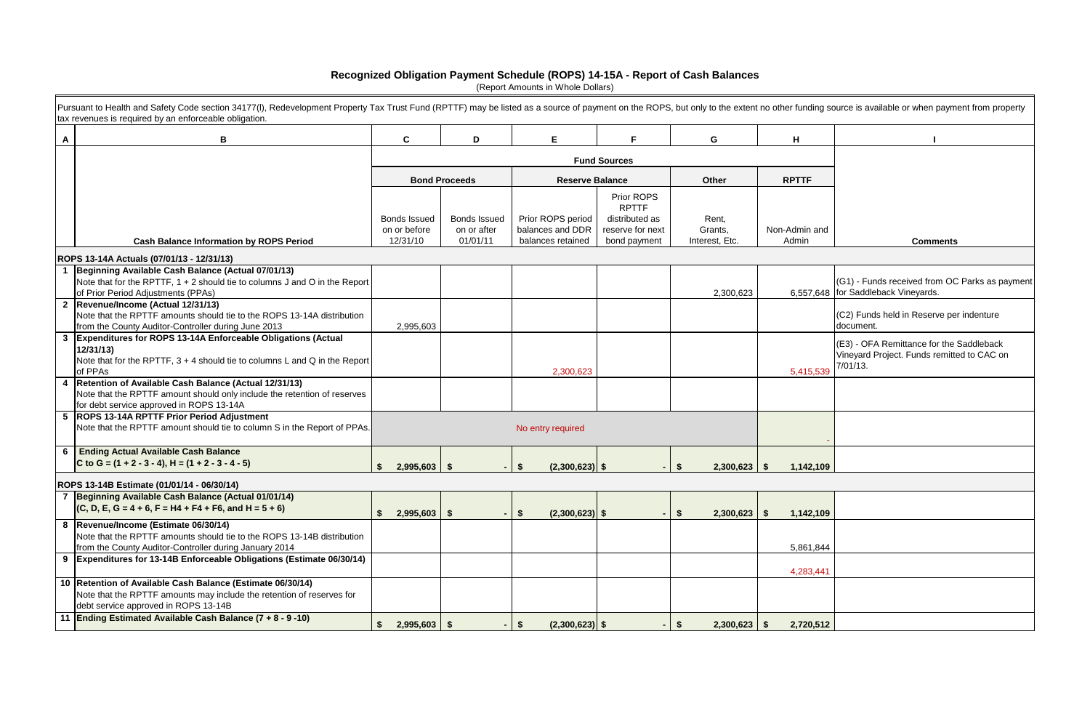|                 | funding source is available or when payment from property                                          |
|-----------------|----------------------------------------------------------------------------------------------------|
| ┫               | ı                                                                                                  |
|                 |                                                                                                    |
| TTF             |                                                                                                    |
|                 |                                                                                                    |
|                 |                                                                                                    |
| lmin and<br>min | <b>Comments</b>                                                                                    |
|                 |                                                                                                    |
| ,557,648        | (G1) - Funds received from OC Parks as payment<br>for Saddleback Vineyards.                        |
|                 | (C2) Funds held in Reserve per indenture<br>document.                                              |
| ,415,539        | (E3) - OFA Remittance for the Saddleback<br>Vineyard Project. Funds remitted to CAC on<br>7/01/13. |
|                 |                                                                                                    |
|                 |                                                                                                    |
| ,142,109        |                                                                                                    |
|                 |                                                                                                    |
| ,142,109        |                                                                                                    |
| ,861,844        |                                                                                                    |
|                 |                                                                                                    |
| ,283,441        |                                                                                                    |
| ,720,512        |                                                                                                    |

## **Recognized Obligation Payment Schedule (ROPS) 14-15A - Report of Cash Balances**

|              | Pursuant to Health and Safety Code section 34177(I), Redevelopment Property Tax Trust Fund (RPTTF) may be listed as a source of payment on the ROPS, but only to the extent no other funding source is available or when payme<br>tax revenues is required by an enforceable obligation. |                                          |                                                |                                                            |                                                                                  |                                    |                        |                                                                                                       |
|--------------|------------------------------------------------------------------------------------------------------------------------------------------------------------------------------------------------------------------------------------------------------------------------------------------|------------------------------------------|------------------------------------------------|------------------------------------------------------------|----------------------------------------------------------------------------------|------------------------------------|------------------------|-------------------------------------------------------------------------------------------------------|
| $\mathsf{A}$ | В                                                                                                                                                                                                                                                                                        | C                                        | D                                              | E                                                          | F                                                                                | G                                  | H                      |                                                                                                       |
|              |                                                                                                                                                                                                                                                                                          |                                          |                                                | <b>Fund Sources</b>                                        |                                                                                  |                                    |                        |                                                                                                       |
|              |                                                                                                                                                                                                                                                                                          |                                          | <b>Bond Proceeds</b>                           | <b>Reserve Balance</b>                                     |                                                                                  | Other                              | <b>RPTTF</b>           |                                                                                                       |
|              | <b>Cash Balance Information by ROPS Period</b>                                                                                                                                                                                                                                           | Bonds Issued<br>on or before<br>12/31/10 | <b>Bonds Issued</b><br>on or after<br>01/01/11 | Prior ROPS period<br>balances and DDR<br>balances retained | Prior ROPS<br><b>RPTTF</b><br>distributed as<br>reserve for next<br>bond payment | Rent,<br>Grants,<br>Interest, Etc. | Non-Admin and<br>Admin | <b>Comments</b>                                                                                       |
|              | ROPS 13-14A Actuals (07/01/13 - 12/31/13)                                                                                                                                                                                                                                                |                                          |                                                |                                                            |                                                                                  |                                    |                        |                                                                                                       |
|              | Beginning Available Cash Balance (Actual 07/01/13)<br>Note that for the RPTTF, 1 + 2 should tie to columns J and O in the Report<br>of Prior Period Adjustments (PPAs)                                                                                                                   |                                          |                                                |                                                            |                                                                                  | 2,300,623                          |                        | (G1) - Funds received from OC Parks as payme<br>6,557,648 for Saddleback Vineyards.                   |
|              | 2 Revenue/Income (Actual 12/31/13)<br>Note that the RPTTF amounts should tie to the ROPS 13-14A distribution<br>from the County Auditor-Controller during June 2013                                                                                                                      | 2,995,603                                |                                                |                                                            |                                                                                  |                                    |                        | (C2) Funds held in Reserve per indenture<br>document.                                                 |
|              | 3 Expenditures for ROPS 13-14A Enforceable Obligations (Actual<br>12/31/13<br>Note that for the RPTTF, $3 + 4$ should tie to columns L and Q in the Report<br>of PPAs                                                                                                                    |                                          |                                                | 2,300,623                                                  |                                                                                  |                                    | 5,415,539              | (E3) - OFA Remittance for the Saddleback<br>Vineyard Project. Funds remitted to CAC on<br>$7/01/13$ . |
|              | Retention of Available Cash Balance (Actual 12/31/13)<br>Note that the RPTTF amount should only include the retention of reserves<br>for debt service approved in ROPS 13-14A                                                                                                            |                                          |                                                |                                                            |                                                                                  |                                    |                        |                                                                                                       |
|              | <b>ROPS 13-14A RPTTF Prior Period Adjustment</b><br>Note that the RPTTF amount should tie to column S in the Report of PPAs.                                                                                                                                                             |                                          |                                                | No entry required                                          |                                                                                  |                                    |                        |                                                                                                       |
|              | 6 Ending Actual Available Cash Balance<br>C to G = $(1 + 2 - 3 - 4)$ , H = $(1 + 2 - 3 - 4 - 5)$                                                                                                                                                                                         | $2,995,603$ \$                           |                                                | $(2,300,623)$ \$<br>\$                                     |                                                                                  | 2,300,623<br>\$.                   | 1,142,109<br>- \$      |                                                                                                       |
|              | ROPS 13-14B Estimate (01/01/14 - 06/30/14)                                                                                                                                                                                                                                               |                                          |                                                |                                                            |                                                                                  |                                    |                        |                                                                                                       |
|              | 7 Beginning Available Cash Balance (Actual 01/01/14)<br>$(C, D, E, G = 4 + 6, F = H4 + F4 + F6, and H = 5 + 6)$                                                                                                                                                                          | $2,995,603$ \$                           |                                                | $(2,300,623)$ \$<br>\$                                     |                                                                                  | $\frac{2}{3}$<br>2,300,623         | 1,142,109<br>- \$      |                                                                                                       |
|              | 8  Revenue/Income (Estimate 06/30/14)<br>Note that the RPTTF amounts should tie to the ROPS 13-14B distribution<br>from the County Auditor-Controller during January 2014                                                                                                                |                                          |                                                |                                                            |                                                                                  |                                    | 5,861,844              |                                                                                                       |
|              | 9 Expenditures for 13-14B Enforceable Obligations (Estimate 06/30/14)                                                                                                                                                                                                                    |                                          |                                                |                                                            |                                                                                  |                                    | 4,283,441              |                                                                                                       |
|              | 10 Retention of Available Cash Balance (Estimate 06/30/14)<br>Note that the RPTTF amounts may include the retention of reserves for<br>debt service approved in ROPS 13-14B                                                                                                              |                                          |                                                |                                                            |                                                                                  |                                    |                        |                                                                                                       |
|              | 11 Ending Estimated Available Cash Balance (7 + 8 - 9 -10)                                                                                                                                                                                                                               | $2,995,603$ \$                           |                                                | \$<br>$(2,300,623)$ \$                                     |                                                                                  | \$<br>2,300,623                    | 2,720,512<br>- \$      |                                                                                                       |

(Report Amounts in Whole Dollars)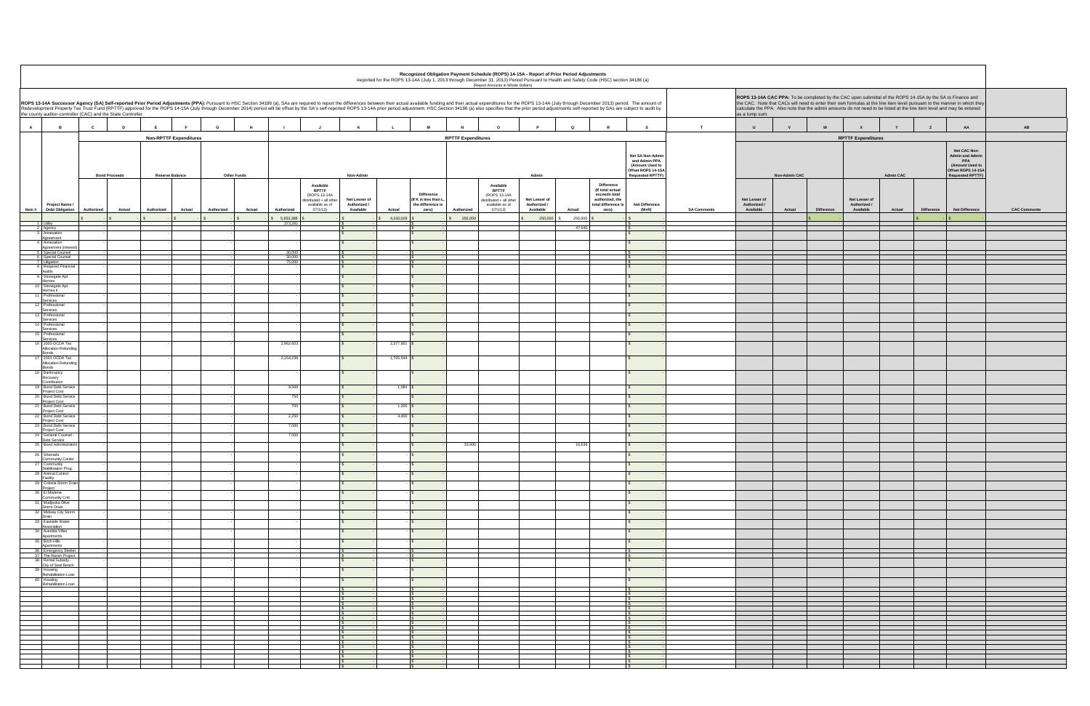| Recognized Obligation Payment Schedule (ROPS) 14-15A - Report of Prior Period Adjustments<br>Reported for the ROPS 13-14A (July 1, 2013 through December 31, 2013) Period Pursuant to Health and Safety Code (HSC) section 34186 (a)<br>(Report Amounts in Whole Dollars) |                                                                                                                                                                                                                                                                                                                                                                                                                                                                                                                                   |                      |                               |                      |                                                            |                               |                     |                                                                |                           |                                                                                                                                                                                                                                                                                                                                                                                     |                               |                   |                                                         |                                                                                                      |                    |                               |                             |                               |                  |                   |                                                                                                                          |                     |
|---------------------------------------------------------------------------------------------------------------------------------------------------------------------------------------------------------------------------------------------------------------------------|-----------------------------------------------------------------------------------------------------------------------------------------------------------------------------------------------------------------------------------------------------------------------------------------------------------------------------------------------------------------------------------------------------------------------------------------------------------------------------------------------------------------------------------|----------------------|-------------------------------|----------------------|------------------------------------------------------------|-------------------------------|---------------------|----------------------------------------------------------------|---------------------------|-------------------------------------------------------------------------------------------------------------------------------------------------------------------------------------------------------------------------------------------------------------------------------------------------------------------------------------------------------------------------------------|-------------------------------|-------------------|---------------------------------------------------------|------------------------------------------------------------------------------------------------------|--------------------|-------------------------------|-----------------------------|-------------------------------|------------------|-------------------|--------------------------------------------------------------------------------------------------------------------------|---------------------|
|                                                                                                                                                                                                                                                                           | ROPS 13-14A Successor Agency (SA) Self-reported Prior Period Adjustments (PPA): Pursuant to HSC Section 34186 (a), SAs are required to report the differences between their actual available funding and their actual expendit<br>Redevelopment Property Tax Trust Fund (RPTTF) approved for the ROPS 14-15A (July through December 2014) period will be offset by the SA's self-reported ROPS 13-14A prior period adjustment. HSC Section 34186 (a) also specif<br>the county auditor-controller (CAC) and the State Controller. |                      |                               |                      |                                                            |                               |                     |                                                                |                           | ROPS 13-14A CAC PPA: To be completed by the CAC upon submittal of the ROPS 14-15A by the SA to Finance and<br>the CAC. Note that CACs will need to enter their own formulas at the line item level pursuant to the manner in which they<br>calculate the PPA. Also note that the admin amounts do not need to be listed at the line item level and may be entered<br>as a lump sum. |                               |                   |                                                         |                                                                                                      |                    |                               |                             |                               |                  |                   |                                                                                                                          |                     |
| A                                                                                                                                                                                                                                                                         | $\overline{B}$                                                                                                                                                                                                                                                                                                                                                                                                                                                                                                                    | $\mathbf{c}$<br>D    | E.<br><b>F</b>                | G<br>H               |                                                            | K                             |                     | <b>M</b>                                                       |                           | $\circ$                                                                                                                                                                                                                                                                                                                                                                             | P                             | $\mathbf Q$       | $\mathbb{R}$                                            | $\mathbf{s}$                                                                                         | T                  | $\mathbf{U}$                  | W<br>V                      | $\mathbf{x}$                  |                  | $\mathsf{z}$      | AA                                                                                                                       | AB                  |
|                                                                                                                                                                                                                                                                           |                                                                                                                                                                                                                                                                                                                                                                                                                                                                                                                                   |                      | <b>Non-RPTTF Expenditures</b> |                      |                                                            |                               |                     |                                                                | <b>RPTTF Expenditures</b> |                                                                                                                                                                                                                                                                                                                                                                                     |                               |                   |                                                         |                                                                                                      |                    |                               |                             | <b>RPTTF Expenditures</b>     |                  |                   |                                                                                                                          |                     |
|                                                                                                                                                                                                                                                                           |                                                                                                                                                                                                                                                                                                                                                                                                                                                                                                                                   |                      |                               |                      |                                                            |                               |                     |                                                                |                           |                                                                                                                                                                                                                                                                                                                                                                                     |                               |                   |                                                         | Net SA Non-Admir<br>and Admin PPA<br>(Amount Used to<br>Offset ROPS 14-15/<br><b>Requested RPTTF</b> |                    |                               |                             |                               |                  |                   | Net CAC Non-<br><b>Admin and Admin</b><br><b>PPA</b><br>(Amount Used to<br>Offset ROPS 14-15A<br><b>Requested RPTTF)</b> |                     |
|                                                                                                                                                                                                                                                                           |                                                                                                                                                                                                                                                                                                                                                                                                                                                                                                                                   | <b>Bond Proceeds</b> | <b>Reserve Balance</b>        | <b>Other Funds</b>   | Available<br><b>RPTTF</b>                                  | Non-Admin                     |                     |                                                                |                           | Available<br><b>RPTTF</b>                                                                                                                                                                                                                                                                                                                                                           | Admin                         |                   | Difference<br>(If total actual                          |                                                                                                      |                    |                               | <b>Non-Admin CAC</b>        |                               | <b>Admin CAC</b> |                   |                                                                                                                          |                     |
|                                                                                                                                                                                                                                                                           | Project Name                                                                                                                                                                                                                                                                                                                                                                                                                                                                                                                      |                      |                               |                      | (ROPS 13-14A<br>distributed + all other<br>available as of | Net Lesser of<br>Authorized / |                     | <b>Difference</b><br>If K is less than L.<br>the difference is |                           | (ROPS 13-14A<br>distributed + all other<br>available as of                                                                                                                                                                                                                                                                                                                          | Net Lesser of<br>Authorized / |                   | exceeds total<br>authorized, the<br>total difference is | <b>Net Difference</b>                                                                                |                    | Net Lesser of<br>Authorized / |                             | Net Lesser of<br>Authorized / |                  |                   |                                                                                                                          |                     |
| Item#                                                                                                                                                                                                                                                                     | <b>Debt Obligation</b>                                                                                                                                                                                                                                                                                                                                                                                                                                                                                                            | Authorized<br>Actual | Authorized<br>Actual          | Authorized<br>Actual | Authorized<br>07/1/13<br>5,653,388                         | Available                     | Actual<br>4,150,029 | zero)                                                          | Authorized<br>250,000     | 07/1/13                                                                                                                                                                                                                                                                                                                                                                             | Available<br>250,000          | Actual<br>250,000 | zero)                                                   | $(M+R)$                                                                                              | <b>SA Comments</b> | Available                     | <b>Difference</b><br>Actual | Available                     | Actual           | <b>Difference</b> | <b>Net Difference</b>                                                                                                    | <b>CAC Comments</b> |
|                                                                                                                                                                                                                                                                           | 1 Utility<br>2 Agency                                                                                                                                                                                                                                                                                                                                                                                                                                                                                                             |                      |                               |                      | 373,281                                                    |                               |                     |                                                                |                           |                                                                                                                                                                                                                                                                                                                                                                                     |                               | 47,640            |                                                         |                                                                                                      |                    |                               |                             |                               |                  |                   |                                                                                                                          |                     |
|                                                                                                                                                                                                                                                                           | 3 Annexation<br>Agreement<br>4 Annexation                                                                                                                                                                                                                                                                                                                                                                                                                                                                                         |                      |                               |                      |                                                            |                               |                     |                                                                |                           |                                                                                                                                                                                                                                                                                                                                                                                     |                               |                   |                                                         |                                                                                                      |                    |                               |                             |                               |                  |                   |                                                                                                                          |                     |
|                                                                                                                                                                                                                                                                           | Agreement (inter<br>5 Special Counsel<br>6 Special Counsel                                                                                                                                                                                                                                                                                                                                                                                                                                                                        |                      |                               |                      | $\frac{30,000}{30,000}$                                    |                               |                     |                                                                |                           |                                                                                                                                                                                                                                                                                                                                                                                     |                               |                   |                                                         |                                                                                                      |                    |                               |                             |                               |                  |                   |                                                                                                                          |                     |
|                                                                                                                                                                                                                                                                           | 7 Litigation<br>8 Required Financia                                                                                                                                                                                                                                                                                                                                                                                                                                                                                               |                      |                               |                      | 75,000                                                     |                               |                     |                                                                |                           |                                                                                                                                                                                                                                                                                                                                                                                     |                               |                   |                                                         |                                                                                                      |                    |                               |                             |                               |                  |                   |                                                                                                                          |                     |
|                                                                                                                                                                                                                                                                           | Audits<br>9 Stonegate Apt<br>Homes                                                                                                                                                                                                                                                                                                                                                                                                                                                                                                |                      |                               |                      |                                                            |                               |                     |                                                                |                           |                                                                                                                                                                                                                                                                                                                                                                                     |                               |                   |                                                         |                                                                                                      |                    |                               |                             |                               |                  |                   |                                                                                                                          |                     |
|                                                                                                                                                                                                                                                                           | 10 Stonegate Apt<br>Homes II                                                                                                                                                                                                                                                                                                                                                                                                                                                                                                      |                      |                               |                      |                                                            |                               |                     |                                                                |                           |                                                                                                                                                                                                                                                                                                                                                                                     |                               |                   |                                                         |                                                                                                      |                    |                               |                             |                               |                  |                   |                                                                                                                          |                     |
|                                                                                                                                                                                                                                                                           | 11 Professional<br>Services<br>12 Professional                                                                                                                                                                                                                                                                                                                                                                                                                                                                                    |                      |                               |                      |                                                            |                               |                     |                                                                |                           |                                                                                                                                                                                                                                                                                                                                                                                     |                               |                   |                                                         |                                                                                                      |                    |                               |                             |                               |                  |                   |                                                                                                                          |                     |
|                                                                                                                                                                                                                                                                           | Services<br>13 Professional<br>Services                                                                                                                                                                                                                                                                                                                                                                                                                                                                                           |                      |                               |                      |                                                            |                               |                     |                                                                |                           |                                                                                                                                                                                                                                                                                                                                                                                     |                               |                   |                                                         |                                                                                                      |                    |                               |                             |                               |                  |                   |                                                                                                                          |                     |
|                                                                                                                                                                                                                                                                           | 14 Professional<br>Services                                                                                                                                                                                                                                                                                                                                                                                                                                                                                                       |                      |                               |                      |                                                            |                               |                     |                                                                |                           |                                                                                                                                                                                                                                                                                                                                                                                     |                               |                   |                                                         |                                                                                                      |                    |                               |                             |                               |                  |                   |                                                                                                                          |                     |
|                                                                                                                                                                                                                                                                           | 15 Professional<br>Services<br>16 2003 OCDA Tax                                                                                                                                                                                                                                                                                                                                                                                                                                                                                   |                      |                               |                      | 2,962,603                                                  |                               | 2,377,801           |                                                                |                           |                                                                                                                                                                                                                                                                                                                                                                                     |                               |                   |                                                         |                                                                                                      |                    |                               |                             |                               |                  |                   |                                                                                                                          |                     |
|                                                                                                                                                                                                                                                                           | Allocation Refundin<br><b>Bonds</b>                                                                                                                                                                                                                                                                                                                                                                                                                                                                                               |                      |                               |                      |                                                            |                               |                     |                                                                |                           |                                                                                                                                                                                                                                                                                                                                                                                     |                               |                   |                                                         |                                                                                                      |                    |                               |                             |                               |                  |                   |                                                                                                                          |                     |
|                                                                                                                                                                                                                                                                           | 17 2001 OCDA Tax<br>Allocation Refundin<br>Bonds                                                                                                                                                                                                                                                                                                                                                                                                                                                                                  |                      |                               |                      | 2,154,238                                                  |                               | 1,765,544 \$        |                                                                |                           |                                                                                                                                                                                                                                                                                                                                                                                     |                               |                   |                                                         |                                                                                                      |                    |                               |                             |                               |                  |                   |                                                                                                                          |                     |
|                                                                                                                                                                                                                                                                           | 18 Bankruptcy<br>Recovery<br>Contribution                                                                                                                                                                                                                                                                                                                                                                                                                                                                                         |                      |                               |                      |                                                            |                               |                     |                                                                |                           |                                                                                                                                                                                                                                                                                                                                                                                     |                               |                   |                                                         |                                                                                                      |                    |                               |                             |                               |                  |                   |                                                                                                                          |                     |
|                                                                                                                                                                                                                                                                           | 19 Bond Debt Service<br><b>Project Cost</b>                                                                                                                                                                                                                                                                                                                                                                                                                                                                                       |                      |                               |                      | 9,566                                                      |                               | 1,084               |                                                                |                           |                                                                                                                                                                                                                                                                                                                                                                                     |                               |                   |                                                         |                                                                                                      |                    |                               |                             |                               |                  |                   |                                                                                                                          |                     |
|                                                                                                                                                                                                                                                                           | 20 Bond Debt Service<br>Project Cost<br>21 Bond Debt Service                                                                                                                                                                                                                                                                                                                                                                                                                                                                      |                      |                               |                      | 750<br>700                                                 |                               | $1,200$ \$          |                                                                |                           |                                                                                                                                                                                                                                                                                                                                                                                     |                               |                   |                                                         |                                                                                                      |                    |                               |                             |                               |                  |                   |                                                                                                                          |                     |
|                                                                                                                                                                                                                                                                           | Project Cost<br>22 Bond Debt Service                                                                                                                                                                                                                                                                                                                                                                                                                                                                                              |                      |                               |                      | 2,250                                                      |                               | $4,400$ \$          |                                                                |                           |                                                                                                                                                                                                                                                                                                                                                                                     |                               |                   |                                                         |                                                                                                      |                    |                               |                             |                               |                  |                   |                                                                                                                          |                     |
|                                                                                                                                                                                                                                                                           | Project Cost<br>23 Bond Debt Service<br>Project Cost<br>24 General Counsel -                                                                                                                                                                                                                                                                                                                                                                                                                                                      |                      |                               |                      | 7,500                                                      |                               |                     |                                                                |                           |                                                                                                                                                                                                                                                                                                                                                                                     |                               |                   |                                                         |                                                                                                      |                    |                               |                             |                               |                  |                   |                                                                                                                          |                     |
|                                                                                                                                                                                                                                                                           | Debt Service<br>25 Bond Administrati                                                                                                                                                                                                                                                                                                                                                                                                                                                                                              |                      |                               |                      | 7,500                                                      |                               |                     |                                                                | 33,600                    |                                                                                                                                                                                                                                                                                                                                                                                     |                               | 16,636            |                                                         |                                                                                                      |                    |                               |                             |                               |                  |                   |                                                                                                                          |                     |
|                                                                                                                                                                                                                                                                           | 26 Silverado                                                                                                                                                                                                                                                                                                                                                                                                                                                                                                                      |                      |                               |                      |                                                            |                               |                     |                                                                |                           |                                                                                                                                                                                                                                                                                                                                                                                     |                               |                   |                                                         |                                                                                                      |                    |                               |                             |                               |                  |                   |                                                                                                                          |                     |
|                                                                                                                                                                                                                                                                           | <b>Community Center</b><br>27   Community<br>Stabilization Prog.                                                                                                                                                                                                                                                                                                                                                                                                                                                                  |                      |                               |                      |                                                            |                               |                     |                                                                |                           |                                                                                                                                                                                                                                                                                                                                                                                     |                               |                   |                                                         |                                                                                                      |                    |                               |                             |                               |                  |                   |                                                                                                                          |                     |
|                                                                                                                                                                                                                                                                           | 28 Animal Control<br>Facility<br>29 Colonia Storm Dra                                                                                                                                                                                                                                                                                                                                                                                                                                                                             |                      |                               |                      |                                                            |                               |                     |                                                                |                           |                                                                                                                                                                                                                                                                                                                                                                                     |                               |                   |                                                         |                                                                                                      |                    |                               |                             |                               |                  |                   |                                                                                                                          |                     |
|                                                                                                                                                                                                                                                                           | Project<br>30 El Modena                                                                                                                                                                                                                                                                                                                                                                                                                                                                                                           |                      |                               |                      |                                                            |                               |                     | IS.                                                            |                           |                                                                                                                                                                                                                                                                                                                                                                                     |                               |                   |                                                         |                                                                                                      |                    |                               |                             |                               |                  |                   |                                                                                                                          |                     |
|                                                                                                                                                                                                                                                                           | Community Cntr.<br>31 Modjeska Olive<br>Storm Drain                                                                                                                                                                                                                                                                                                                                                                                                                                                                               |                      |                               |                      |                                                            |                               |                     |                                                                |                           |                                                                                                                                                                                                                                                                                                                                                                                     |                               |                   |                                                         |                                                                                                      |                    |                               |                             |                               |                  |                   |                                                                                                                          |                     |
|                                                                                                                                                                                                                                                                           | 32 Midway City Storm<br>Drain                                                                                                                                                                                                                                                                                                                                                                                                                                                                                                     |                      |                               |                      |                                                            |                               |                     |                                                                |                           |                                                                                                                                                                                                                                                                                                                                                                                     |                               |                   |                                                         |                                                                                                      |                    |                               |                             |                               |                  |                   |                                                                                                                          |                     |
|                                                                                                                                                                                                                                                                           | 33 Eastside Water<br>Association<br>34 Avenida Villas                                                                                                                                                                                                                                                                                                                                                                                                                                                                             |                      |                               |                      |                                                            |                               |                     | ·ISS<br>$\overline{\mathbf{s}}$                                |                           |                                                                                                                                                                                                                                                                                                                                                                                     |                               |                   |                                                         |                                                                                                      |                    |                               |                             |                               |                  |                   |                                                                                                                          |                     |
|                                                                                                                                                                                                                                                                           | Apartments<br>35 Birch Hills                                                                                                                                                                                                                                                                                                                                                                                                                                                                                                      |                      |                               |                      |                                                            |                               |                     |                                                                |                           |                                                                                                                                                                                                                                                                                                                                                                                     |                               |                   |                                                         |                                                                                                      |                    |                               |                             |                               |                  |                   |                                                                                                                          |                     |
|                                                                                                                                                                                                                                                                           | Apartments<br>36 Emergency Shelter<br>37 The Ranch Project                                                                                                                                                                                                                                                                                                                                                                                                                                                                        |                      |                               |                      |                                                            |                               |                     |                                                                |                           |                                                                                                                                                                                                                                                                                                                                                                                     |                               |                   |                                                         |                                                                                                      |                    |                               |                             |                               |                  |                   |                                                                                                                          |                     |
|                                                                                                                                                                                                                                                                           | 38 Rental Subsidy -<br>City of Seal Beach<br>39 Housing<br>Rehabilitation Loan                                                                                                                                                                                                                                                                                                                                                                                                                                                    |                      |                               |                      |                                                            |                               |                     |                                                                |                           |                                                                                                                                                                                                                                                                                                                                                                                     |                               |                   |                                                         |                                                                                                      |                    |                               |                             |                               |                  |                   |                                                                                                                          |                     |
|                                                                                                                                                                                                                                                                           | 40 Housing                                                                                                                                                                                                                                                                                                                                                                                                                                                                                                                        |                      |                               |                      |                                                            |                               |                     | $\overline{\mathbf{s}}$                                        |                           |                                                                                                                                                                                                                                                                                                                                                                                     |                               |                   |                                                         |                                                                                                      |                    |                               |                             |                               |                  |                   |                                                                                                                          |                     |
|                                                                                                                                                                                                                                                                           | Rehabilitation Loan                                                                                                                                                                                                                                                                                                                                                                                                                                                                                                               |                      |                               |                      |                                                            |                               |                     |                                                                |                           |                                                                                                                                                                                                                                                                                                                                                                                     |                               |                   |                                                         |                                                                                                      |                    |                               |                             |                               |                  |                   |                                                                                                                          |                     |
|                                                                                                                                                                                                                                                                           |                                                                                                                                                                                                                                                                                                                                                                                                                                                                                                                                   |                      |                               |                      |                                                            |                               |                     |                                                                |                           |                                                                                                                                                                                                                                                                                                                                                                                     |                               |                   |                                                         |                                                                                                      |                    |                               |                             |                               |                  |                   |                                                                                                                          |                     |
|                                                                                                                                                                                                                                                                           |                                                                                                                                                                                                                                                                                                                                                                                                                                                                                                                                   |                      |                               |                      |                                                            |                               |                     |                                                                |                           |                                                                                                                                                                                                                                                                                                                                                                                     |                               |                   |                                                         |                                                                                                      |                    |                               |                             |                               |                  |                   |                                                                                                                          |                     |
|                                                                                                                                                                                                                                                                           |                                                                                                                                                                                                                                                                                                                                                                                                                                                                                                                                   |                      |                               |                      |                                                            |                               |                     |                                                                |                           |                                                                                                                                                                                                                                                                                                                                                                                     |                               |                   |                                                         |                                                                                                      |                    |                               |                             |                               |                  |                   |                                                                                                                          |                     |
|                                                                                                                                                                                                                                                                           |                                                                                                                                                                                                                                                                                                                                                                                                                                                                                                                                   |                      |                               |                      |                                                            |                               |                     |                                                                |                           |                                                                                                                                                                                                                                                                                                                                                                                     |                               |                   |                                                         |                                                                                                      |                    |                               |                             |                               |                  |                   |                                                                                                                          |                     |
|                                                                                                                                                                                                                                                                           |                                                                                                                                                                                                                                                                                                                                                                                                                                                                                                                                   |                      |                               |                      |                                                            |                               |                     |                                                                |                           |                                                                                                                                                                                                                                                                                                                                                                                     |                               |                   |                                                         |                                                                                                      |                    |                               |                             |                               |                  |                   |                                                                                                                          |                     |
|                                                                                                                                                                                                                                                                           |                                                                                                                                                                                                                                                                                                                                                                                                                                                                                                                                   |                      |                               |                      |                                                            |                               |                     |                                                                |                           |                                                                                                                                                                                                                                                                                                                                                                                     |                               |                   |                                                         |                                                                                                      |                    |                               |                             |                               |                  |                   |                                                                                                                          |                     |